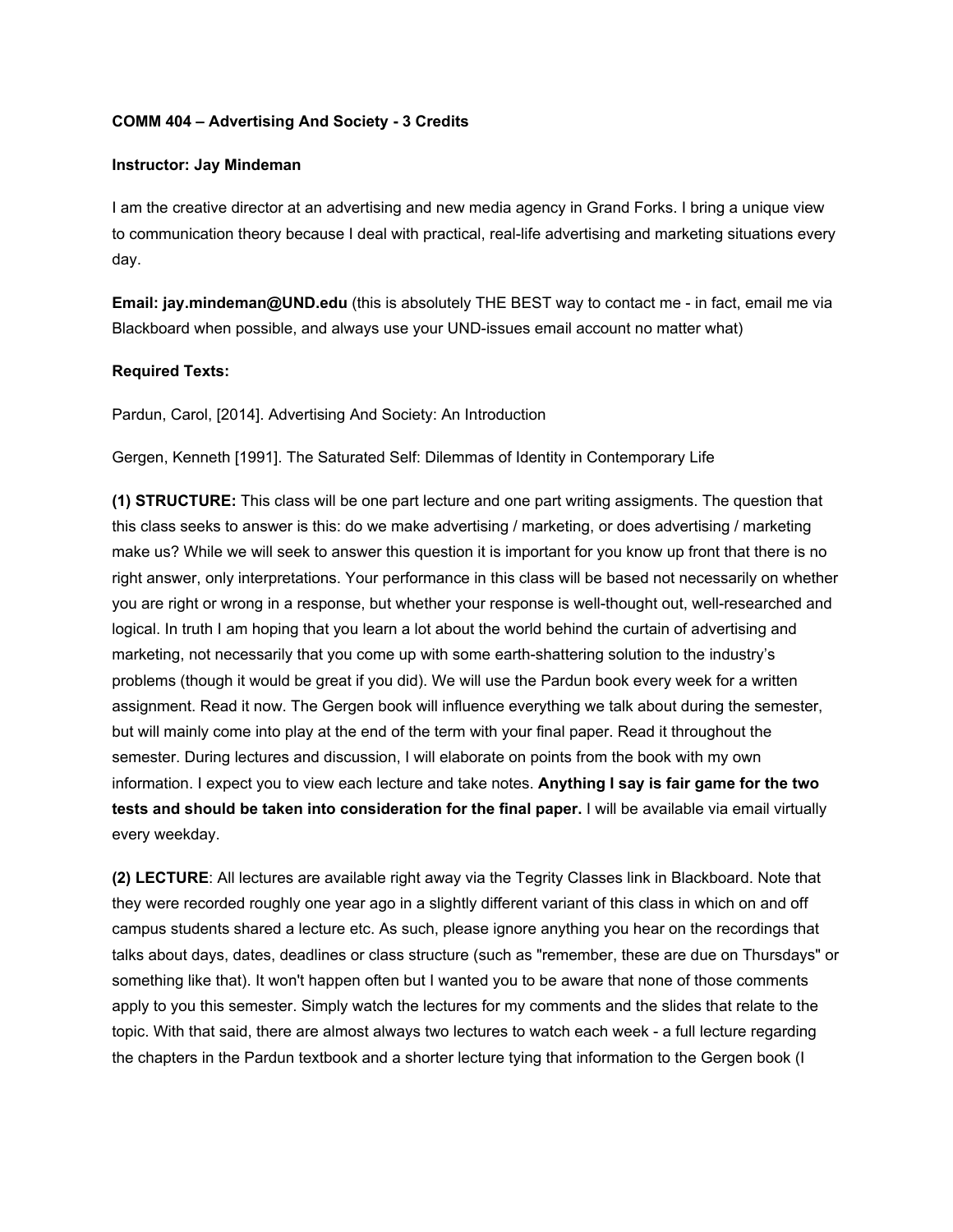## **COMM 404 – Advertising And Society - 3 Credits**

## **Instructor: Jay Mindeman**

I am the creative director at an advertising and new media agency in Grand Forks. I bring a unique view to communication theory because I deal with practical, real-life advertising and marketing situations every day.

**Email: jay.mindeman@UND.edu** (this is absolutely THE BEST way to contact me - in fact, email me via Blackboard when possible, and always use your UND-issues email account no matter what)

## **Required Texts:**

Pardun, Carol, [2014]. Advertising And Society: An Introduction

Gergen, Kenneth [1991]. The Saturated Self: Dilemmas of Identity in Contemporary Life

**(1) STRUCTURE:** This class will be one part lecture and one part writing assigments. The question that this class seeks to answer is this: do we make advertising / marketing, or does advertising / marketing make us? While we will seek to answer this question it is important for you know up front that there is no right answer, only interpretations. Your performance in this class will be based not necessarily on whether you are right or wrong in a response, but whether your response is well-thought out, well-researched and logical. In truth I am hoping that you learn a lot about the world behind the curtain of advertising and marketing, not necessarily that you come up with some earth-shattering solution to the industry's problems (though it would be great if you did). We will use the Pardun book every week for a written assignment. Read it now. The Gergen book will influence everything we talk about during the semester, but will mainly come into play at the end of the term with your final paper. Read it throughout the semester. During lectures and discussion, I will elaborate on points from the book with my own information. I expect you to view each lecture and take notes. **Anything I say is fair game for the two tests and should be taken into consideration for the final paper.** I will be available via email virtually every weekday.

**(2) LECTURE**: All lectures are available right away via the Tegrity Classes link in Blackboard. Note that they were recorded roughly one year ago in a slightly different variant of this class in which on and off campus students shared a lecture etc. As such, please ignore anything you hear on the recordings that talks about days, dates, deadlines or class structure (such as "remember, these are due on Thursdays" or something like that). It won't happen often but I wanted you to be aware that none of those comments apply to you this semester. Simply watch the lectures for my comments and the slides that relate to the topic. With that said, there are almost always two lectures to watch each week - a full lecture regarding the chapters in the Pardun textbook and a shorter lecture tying that information to the Gergen book (I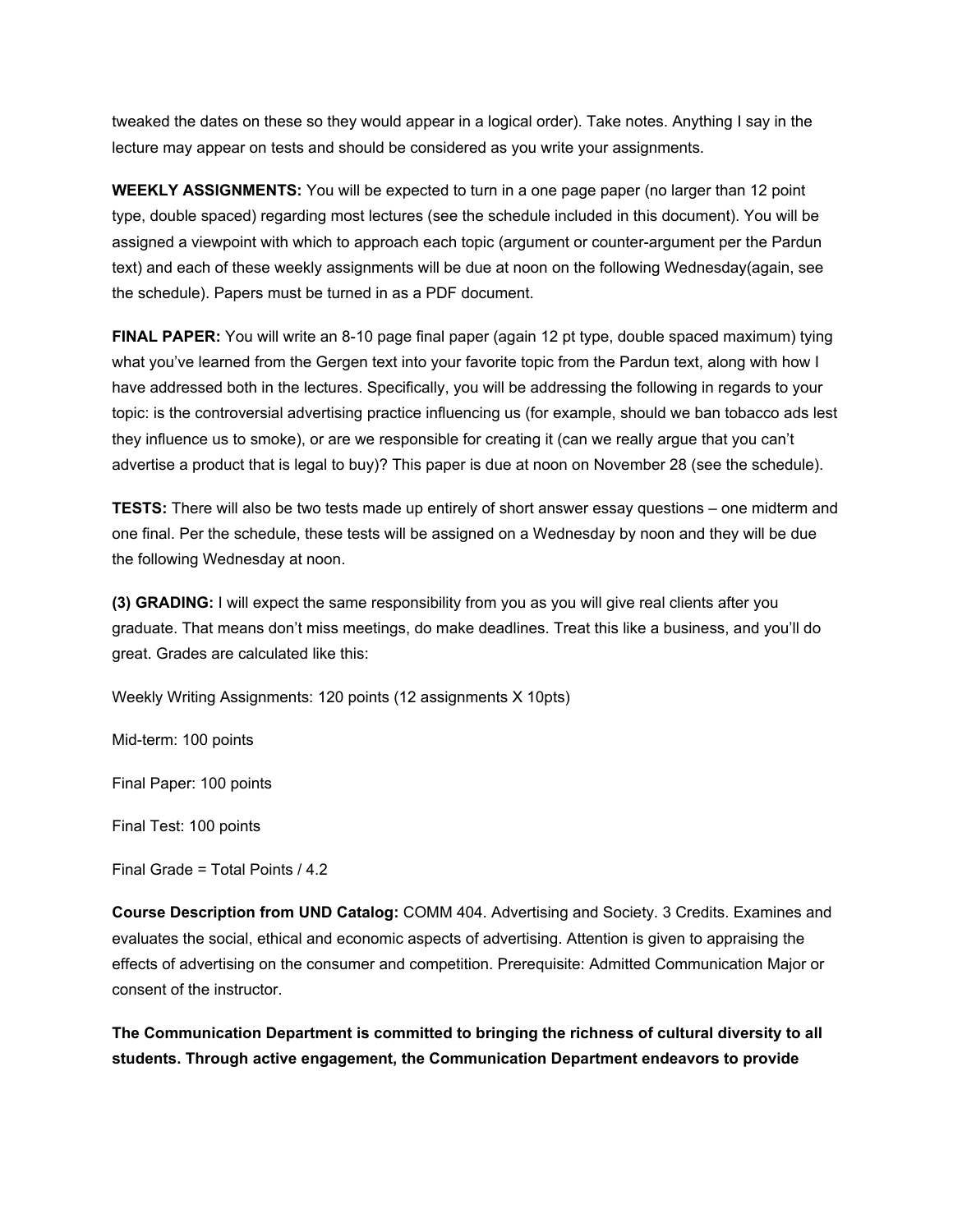tweaked the dates on these so they would appear in a logical order). Take notes. Anything I say in the lecture may appear on tests and should be considered as you write your assignments.

**WEEKLY ASSIGNMENTS:** You will be expected to turn in a one page paper (no larger than 12 point type, double spaced) regarding most lectures (see the schedule included in this document). You will be assigned a viewpoint with which to approach each topic (argument or counter-argument per the Pardun text) and each of these weekly assignments will be due at noon on the following Wednesday(again, see the schedule). Papers must be turned in as a PDF document.

**FINAL PAPER:** You will write an 8-10 page final paper (again 12 pt type, double spaced maximum) tying what you've learned from the Gergen text into your favorite topic from the Pardun text, along with how I have addressed both in the lectures. Specifically, you will be addressing the following in regards to your topic: is the controversial advertising practice influencing us (for example, should we ban tobacco ads lest they influence us to smoke), or are we responsible for creating it (can we really argue that you can't advertise a product that is legal to buy)? This paper is due at noon on November 28 (see the schedule).

**TESTS:** There will also be two tests made up entirely of short answer essay questions – one midterm and one final. Per the schedule, these tests will be assigned on a Wednesday by noon and they will be due the following Wednesday at noon.

**(3) GRADING:** I will expect the same responsibility from you as you will give real clients after you graduate. That means don't miss meetings, do make deadlines. Treat this like a business, and you'll do great. Grades are calculated like this:

Weekly Writing Assignments: 120 points (12 assignments X 10pts)

Mid-term: 100 points

Final Paper: 100 points

Final Test: 100 points

Final Grade = Total Points / 4.2

**Course Description from UND Catalog:** COMM 404. Advertising and Society. 3 Credits. Examines and evaluates the social, ethical and economic aspects of advertising. Attention is given to appraising the effects of advertising on the consumer and competition. Prerequisite: Admitted Communication Major or consent of the instructor.

**The Communication Department is committed to bringing the richness of cultural diversity to all students. Through active engagement, the Communication Department endeavors to provide**